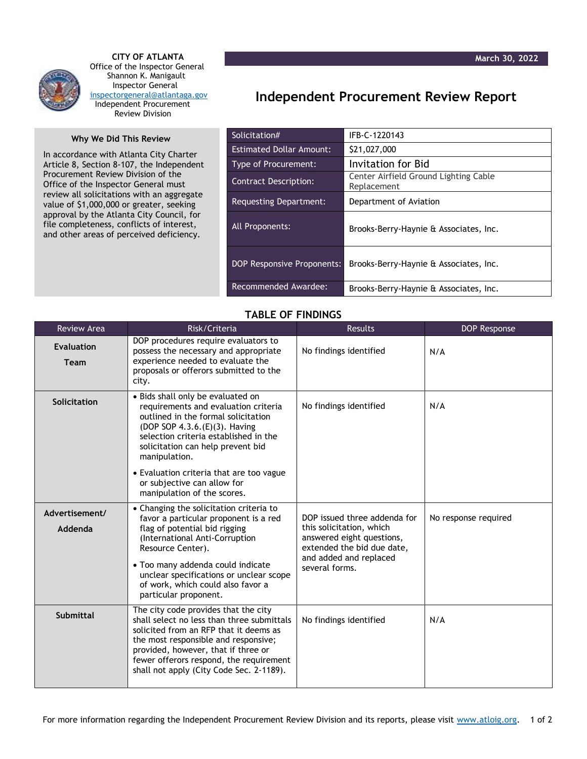

 **CITY OF ATLANTA** Office of the Inspector General Shannon K. Manigault Inspector General [inspectorgeneral@atlantaga.gov](mailto:inspectorgeneral@atlantaga.gov) Independent Procurement Review Division

## **Why We Did This Review**

In accordance with Atlanta City Charter Article 8, Section 8-107, the Independent Procurement Review Division of the Office of the Inspector General must review all solicitations with an aggregate value of \$1,000,000 or greater, seeking approval by the Atlanta City Council, for file completeness, conflicts of interest, and other areas of perceived deficiency.

## **Independent Procurement Review Report**

| Solicitation#                     | IFB-C-1220143                                        |  |
|-----------------------------------|------------------------------------------------------|--|
| <b>Estimated Dollar Amount:</b>   | \$21,027,000                                         |  |
| <b>Type of Procurement:</b>       | Invitation for Bid                                   |  |
| <b>Contract Description:</b>      | Center Airfield Ground Lighting Cable<br>Replacement |  |
| <b>Requesting Department:</b>     | Department of Aviation                               |  |
| All Proponents:                   | Brooks-Berry-Haynie & Associates, Inc.               |  |
| <b>DOP Responsive Proponents:</b> | Brooks-Berry-Haynie & Associates, Inc.               |  |
| Recommended Awardee:              | Brooks-Berry-Haynie & Associates, Inc.               |  |

## **TABLE OF FINDINGS**

| <b>Review Area</b>               | Risk/Criteria                                                                                                                                                                                                                                                                                                          | <b>Results</b>                                                                                                                                                  | <b>DOP Response</b>  |
|----------------------------------|------------------------------------------------------------------------------------------------------------------------------------------------------------------------------------------------------------------------------------------------------------------------------------------------------------------------|-----------------------------------------------------------------------------------------------------------------------------------------------------------------|----------------------|
| <b>Evaluation</b><br><b>Team</b> | DOP procedures require evaluators to<br>possess the necessary and appropriate<br>experience needed to evaluate the<br>proposals or offerors submitted to the<br>city.                                                                                                                                                  | No findings identified                                                                                                                                          | N/A                  |
| Solicitation                     | • Bids shall only be evaluated on<br>requirements and evaluation criteria<br>outlined in the formal solicitation<br>(DOP SOP 4.3.6.(E)(3). Having<br>selection criteria established in the<br>solicitation can help prevent bid<br>manipulation.                                                                       | No findings identified                                                                                                                                          | N/A                  |
|                                  | • Evaluation criteria that are too vague<br>or subjective can allow for<br>manipulation of the scores.                                                                                                                                                                                                                 |                                                                                                                                                                 |                      |
| Advertisement/<br>Addenda        | • Changing the solicitation criteria to<br>favor a particular proponent is a red<br>flag of potential bid rigging<br>(International Anti-Corruption<br>Resource Center).<br>• Too many addenda could indicate<br>unclear specifications or unclear scope<br>of work, which could also favor a<br>particular proponent. | DOP issued three addenda for<br>this solicitation, which<br>answered eight questions,<br>extended the bid due date,<br>and added and replaced<br>several forms. | No response required |
| <b>Submittal</b>                 | The city code provides that the city<br>shall select no less than three submittals<br>solicited from an RFP that it deems as<br>the most responsible and responsive;<br>provided, however, that if three or<br>fewer offerors respond, the requirement<br>shall not apply (City Code Sec. 2-1189).                     | No findings identified                                                                                                                                          | N/A                  |